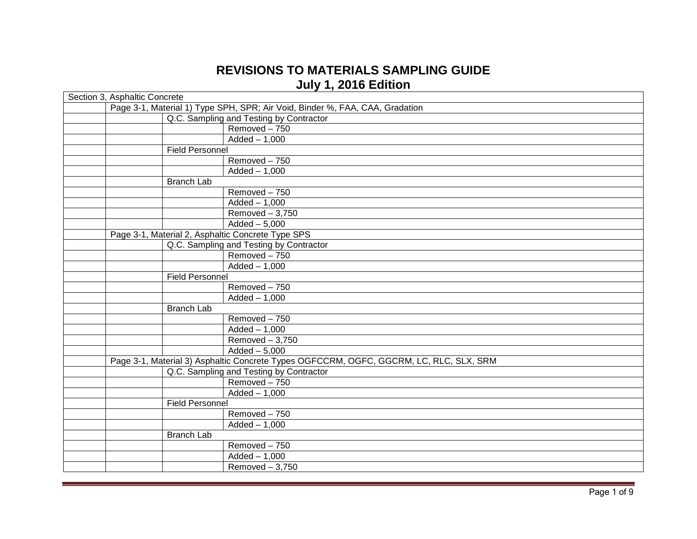## **REVISIONS TO MATERIALS SAMPLING GUIDE July 1, 2016 Edition**

| Section 3, Asphaltic Concrete                                                          |                                                                              |                                         |  |  |
|----------------------------------------------------------------------------------------|------------------------------------------------------------------------------|-----------------------------------------|--|--|
|                                                                                        | Page 3-1, Material 1) Type SPH, SPR; Air Void, Binder %, FAA, CAA, Gradation |                                         |  |  |
|                                                                                        | Q.C. Sampling and Testing by Contractor                                      |                                         |  |  |
|                                                                                        |                                                                              | Removed-750                             |  |  |
|                                                                                        |                                                                              | $Added - 1,000$                         |  |  |
|                                                                                        | <b>Field Personnel</b>                                                       |                                         |  |  |
|                                                                                        |                                                                              | Removed - 750                           |  |  |
|                                                                                        |                                                                              | $Added - 1,000$                         |  |  |
|                                                                                        | <b>Branch Lab</b>                                                            |                                         |  |  |
|                                                                                        |                                                                              | Removed-750                             |  |  |
|                                                                                        |                                                                              | $Added - 1,000$                         |  |  |
|                                                                                        |                                                                              | Removed $-3,750$                        |  |  |
|                                                                                        |                                                                              | $\overline{\text{Added}} - 5,000$       |  |  |
| Page 3-1, Material 2, Asphaltic Concrete Type SPS                                      |                                                                              |                                         |  |  |
|                                                                                        |                                                                              | Q.C. Sampling and Testing by Contractor |  |  |
|                                                                                        |                                                                              | Removed-750                             |  |  |
|                                                                                        |                                                                              | $Added - 1,000$                         |  |  |
|                                                                                        | <b>Field Personnel</b>                                                       |                                         |  |  |
|                                                                                        |                                                                              | Removed-750                             |  |  |
|                                                                                        |                                                                              | $Added - 1,000$                         |  |  |
|                                                                                        | <b>Branch Lab</b>                                                            |                                         |  |  |
|                                                                                        |                                                                              | Removed-750                             |  |  |
|                                                                                        |                                                                              | $Added - 1,000$                         |  |  |
|                                                                                        |                                                                              | Removed $-3,750$                        |  |  |
|                                                                                        |                                                                              | $\overline{\text{Added}} - 5,000$       |  |  |
| Page 3-1, Material 3) Asphaltic Concrete Types OGFCCRM, OGFC, GGCRM, LC, RLC, SLX, SRM |                                                                              |                                         |  |  |
|                                                                                        |                                                                              | Q.C. Sampling and Testing by Contractor |  |  |
|                                                                                        |                                                                              | Removed-750                             |  |  |
|                                                                                        |                                                                              | $Added - 1,000$                         |  |  |
|                                                                                        | Field Personnel                                                              |                                         |  |  |
|                                                                                        |                                                                              | Removed-750                             |  |  |
|                                                                                        |                                                                              | $Added - 1,000$                         |  |  |
|                                                                                        | <b>Branch Lab</b>                                                            |                                         |  |  |
|                                                                                        |                                                                              | Removed - 750                           |  |  |
|                                                                                        |                                                                              | $Added - 1,000$                         |  |  |
|                                                                                        |                                                                              | Removed $-3,750$                        |  |  |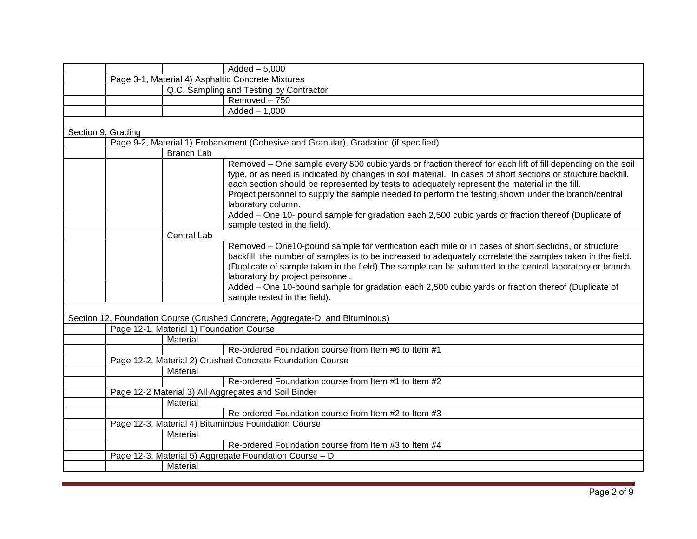|                    |                                          | $Added - 5,000$                                                                                                                                                                                                                                                                                                                                                                                                                                          |
|--------------------|------------------------------------------|----------------------------------------------------------------------------------------------------------------------------------------------------------------------------------------------------------------------------------------------------------------------------------------------------------------------------------------------------------------------------------------------------------------------------------------------------------|
|                    |                                          | Page 3-1, Material 4) Asphaltic Concrete Mixtures                                                                                                                                                                                                                                                                                                                                                                                                        |
|                    |                                          | Q.C. Sampling and Testing by Contractor                                                                                                                                                                                                                                                                                                                                                                                                                  |
|                    |                                          | Removed - 750                                                                                                                                                                                                                                                                                                                                                                                                                                            |
|                    |                                          | $Added - 1,000$                                                                                                                                                                                                                                                                                                                                                                                                                                          |
|                    |                                          |                                                                                                                                                                                                                                                                                                                                                                                                                                                          |
| Section 9, Grading |                                          |                                                                                                                                                                                                                                                                                                                                                                                                                                                          |
|                    |                                          | Page 9-2, Material 1) Embankment (Cohesive and Granular), Gradation (if specified)                                                                                                                                                                                                                                                                                                                                                                       |
|                    | <b>Branch Lab</b>                        |                                                                                                                                                                                                                                                                                                                                                                                                                                                          |
|                    |                                          | Removed – One sample every 500 cubic yards or fraction thereof for each lift of fill depending on the soil<br>type, or as need is indicated by changes in soil material. In cases of short sections or structure backfill,<br>each section should be represented by tests to adequately represent the material in the fill.<br>Project personnel to supply the sample needed to perform the testing shown under the branch/central<br>laboratory column. |
|                    |                                          | Added - One 10- pound sample for gradation each 2,500 cubic yards or fraction thereof (Duplicate of<br>sample tested in the field).                                                                                                                                                                                                                                                                                                                      |
|                    | Central Lab                              |                                                                                                                                                                                                                                                                                                                                                                                                                                                          |
|                    |                                          | Removed - One10-pound sample for verification each mile or in cases of short sections, or structure<br>backfill, the number of samples is to be increased to adequately correlate the samples taken in the field.<br>(Duplicate of sample taken in the field) The sample can be submitted to the central laboratory or branch<br>laboratory by project personnel.                                                                                        |
|                    |                                          | Added - One 10-pound sample for gradation each 2,500 cubic yards or fraction thereof (Duplicate of<br>sample tested in the field).                                                                                                                                                                                                                                                                                                                       |
|                    |                                          |                                                                                                                                                                                                                                                                                                                                                                                                                                                          |
|                    |                                          | Section 12, Foundation Course (Crushed Concrete, Aggregate-D, and Bituminous)                                                                                                                                                                                                                                                                                                                                                                            |
|                    | Page 12-1, Material 1) Foundation Course |                                                                                                                                                                                                                                                                                                                                                                                                                                                          |
|                    | Material                                 |                                                                                                                                                                                                                                                                                                                                                                                                                                                          |
|                    |                                          | Re-ordered Foundation course from Item #6 to Item #1                                                                                                                                                                                                                                                                                                                                                                                                     |
|                    |                                          | Page 12-2, Material 2) Crushed Concrete Foundation Course                                                                                                                                                                                                                                                                                                                                                                                                |
|                    | Material                                 |                                                                                                                                                                                                                                                                                                                                                                                                                                                          |
|                    |                                          | Re-ordered Foundation course from Item #1 to Item #2                                                                                                                                                                                                                                                                                                                                                                                                     |
|                    |                                          | Page 12-2 Material 3) All Aggregates and Soil Binder                                                                                                                                                                                                                                                                                                                                                                                                     |
|                    | Material                                 |                                                                                                                                                                                                                                                                                                                                                                                                                                                          |
|                    |                                          | Re-ordered Foundation course from Item #2 to Item #3                                                                                                                                                                                                                                                                                                                                                                                                     |
|                    |                                          | Page 12-3, Material 4) Bituminous Foundation Course                                                                                                                                                                                                                                                                                                                                                                                                      |
|                    | Material                                 |                                                                                                                                                                                                                                                                                                                                                                                                                                                          |
|                    |                                          | Re-ordered Foundation course from Item #3 to Item #4                                                                                                                                                                                                                                                                                                                                                                                                     |
|                    |                                          | Page 12-3, Material 5) Aggregate Foundation Course - D                                                                                                                                                                                                                                                                                                                                                                                                   |
|                    | Material                                 |                                                                                                                                                                                                                                                                                                                                                                                                                                                          |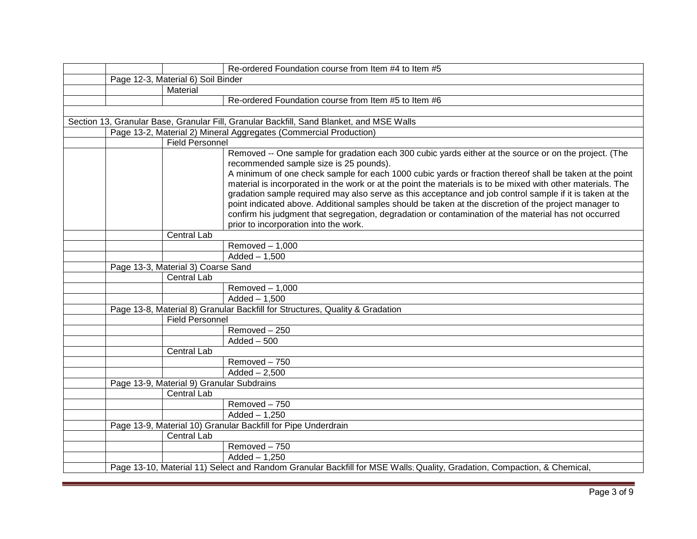|  |                                           | Re-ordered Foundation course from Item #4 to Item #5                                                                    |
|--|-------------------------------------------|-------------------------------------------------------------------------------------------------------------------------|
|  | Page 12-3, Material 6) Soil Binder        |                                                                                                                         |
|  | Material                                  |                                                                                                                         |
|  |                                           | Re-ordered Foundation course from Item #5 to Item #6                                                                    |
|  |                                           |                                                                                                                         |
|  |                                           | Section 13, Granular Base, Granular Fill, Granular Backfill, Sand Blanket, and MSE Walls                                |
|  |                                           | Page 13-2, Material 2) Mineral Aggregates (Commercial Production)                                                       |
|  | <b>Field Personnel</b>                    |                                                                                                                         |
|  |                                           | Removed -- One sample for gradation each 300 cubic yards either at the source or on the project. (The                   |
|  |                                           | recommended sample size is 25 pounds).                                                                                  |
|  |                                           | A minimum of one check sample for each 1000 cubic yards or fraction thereof shall be taken at the point                 |
|  |                                           | material is incorporated in the work or at the point the materials is to be mixed with other materials. The             |
|  |                                           | gradation sample required may also serve as this acceptance and job control sample if it is taken at the                |
|  |                                           | point indicated above. Additional samples should be taken at the discretion of the project manager to                   |
|  |                                           | confirm his judgment that segregation, degradation or contamination of the material has not occurred                    |
|  |                                           | prior to incorporation into the work.                                                                                   |
|  | <b>Central Lab</b>                        |                                                                                                                         |
|  |                                           | $R$ emoved $-1,000$                                                                                                     |
|  |                                           | $Added - 1,500$                                                                                                         |
|  | Page 13-3, Material 3) Coarse Sand        |                                                                                                                         |
|  | <b>Central Lab</b>                        |                                                                                                                         |
|  |                                           | Removed $-1,000$                                                                                                        |
|  |                                           | $Added - 1,500$                                                                                                         |
|  |                                           | Page 13-8, Material 8) Granular Backfill for Structures, Quality & Gradation                                            |
|  | <b>Field Personnel</b>                    |                                                                                                                         |
|  |                                           | Removed-250                                                                                                             |
|  |                                           | $\overline{\text{Added} - 500}$                                                                                         |
|  | <b>Central Lab</b>                        |                                                                                                                         |
|  |                                           | Removed-750                                                                                                             |
|  |                                           | $Added - 2,500$                                                                                                         |
|  | Page 13-9, Material 9) Granular Subdrains |                                                                                                                         |
|  | <b>Central Lab</b>                        |                                                                                                                         |
|  |                                           | Removed - 750                                                                                                           |
|  |                                           | $Added - 1,250$                                                                                                         |
|  |                                           | Page 13-9, Material 10) Granular Backfill for Pipe Underdrain                                                           |
|  | Central Lab                               |                                                                                                                         |
|  |                                           | Removed - 750                                                                                                           |
|  |                                           | $Added - 1,250$                                                                                                         |
|  |                                           | Page 13-10, Material 11) Select and Random Granular Backfill for MSE Walls; Quality, Gradation, Compaction, & Chemical, |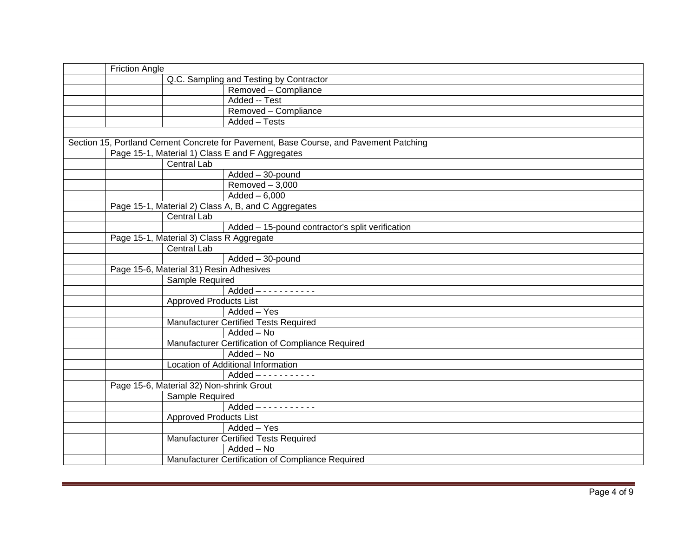| <b>Friction Angle</b>                               |                                                                                       |
|-----------------------------------------------------|---------------------------------------------------------------------------------------|
|                                                     | Q.C. Sampling and Testing by Contractor                                               |
|                                                     | Removed - Compliance                                                                  |
|                                                     | Added -- Test                                                                         |
|                                                     | Removed - Compliance                                                                  |
|                                                     | Added - Tests                                                                         |
|                                                     |                                                                                       |
|                                                     | Section 15, Portland Cement Concrete for Pavement, Base Course, and Pavement Patching |
| Page 15-1, Material 1) Class E and F Aggregates     |                                                                                       |
| <b>Central Lab</b>                                  |                                                                                       |
|                                                     | Added - 30-pound                                                                      |
|                                                     | $Removed - 3,000$                                                                     |
|                                                     | $Added - 6,000$                                                                       |
| Page 15-1, Material 2) Class A, B, and C Aggregates |                                                                                       |
| Central Lab                                         |                                                                                       |
|                                                     | Added - 15-pound contractor's split verification                                      |
| Page 15-1, Material 3) Class R Aggregate            |                                                                                       |
| Central Lab                                         |                                                                                       |
|                                                     | Added - 30-pound                                                                      |
| Page 15-6, Material 31) Resin Adhesives             |                                                                                       |
| Sample Required                                     |                                                                                       |
|                                                     | $Added$ - - - - - - - - - - -                                                         |
| <b>Approved Products List</b>                       |                                                                                       |
|                                                     | Added - Yes                                                                           |
|                                                     | <b>Manufacturer Certified Tests Required</b>                                          |
|                                                     | Added - No                                                                            |
|                                                     | Manufacturer Certification of Compliance Required                                     |
|                                                     | Added - No                                                                            |
|                                                     | Location of Additional Information                                                    |
|                                                     |                                                                                       |
| Page 15-6, Material 32) Non-shrink Grout            |                                                                                       |
| Sample Required                                     |                                                                                       |
|                                                     | $Added$ - - - - - - - - - - -                                                         |
| <b>Approved Products List</b>                       |                                                                                       |
|                                                     | Added - Yes                                                                           |
|                                                     | <b>Manufacturer Certified Tests Required</b>                                          |
|                                                     | $\overline{\text{Added} - \text{No}}$                                                 |
|                                                     | Manufacturer Certification of Compliance Required                                     |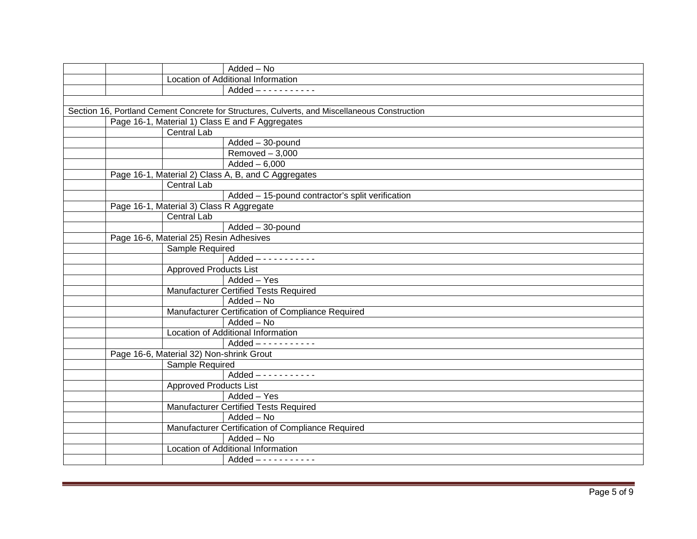| Added - No                                                                                    |  |
|-----------------------------------------------------------------------------------------------|--|
| Location of Additional Information                                                            |  |
|                                                                                               |  |
|                                                                                               |  |
| Section 16, Portland Cement Concrete for Structures, Culverts, and Miscellaneous Construction |  |
| Page 16-1, Material 1) Class E and F Aggregates                                               |  |
| <b>Central Lab</b>                                                                            |  |
| $Added - 30$ -pound                                                                           |  |
| $Removed - 3,000$                                                                             |  |
| $Added - 6,000$                                                                               |  |
| Page 16-1, Material 2) Class A, B, and C Aggregates                                           |  |
| Central Lab                                                                                   |  |
| Added - 15-pound contractor's split verification                                              |  |
| Page 16-1, Material 3) Class R Aggregate                                                      |  |
| Central Lab                                                                                   |  |
| Added - 30-pound                                                                              |  |
| Page 16-6, Material 25) Resin Adhesives                                                       |  |
| Sample Required                                                                               |  |
| $Added$ - - - - - - - - - - -                                                                 |  |
| <b>Approved Products List</b>                                                                 |  |
| Added - Yes                                                                                   |  |
| <b>Manufacturer Certified Tests Required</b>                                                  |  |
| Added - No                                                                                    |  |
| Manufacturer Certification of Compliance Required                                             |  |
| Added - No                                                                                    |  |
| Location of Additional Information                                                            |  |
|                                                                                               |  |
| Page 16-6, Material 32) Non-shrink Grout                                                      |  |
| Sample Required                                                                               |  |
| $Added$ - - - - - - - - - -                                                                   |  |
| <b>Approved Products List</b>                                                                 |  |
| Added - Yes                                                                                   |  |
| <b>Manufacturer Certified Tests Required</b>                                                  |  |
| Added - No                                                                                    |  |
| Manufacturer Certification of Compliance Required                                             |  |
| Added - No                                                                                    |  |
| Location of Additional Information                                                            |  |
|                                                                                               |  |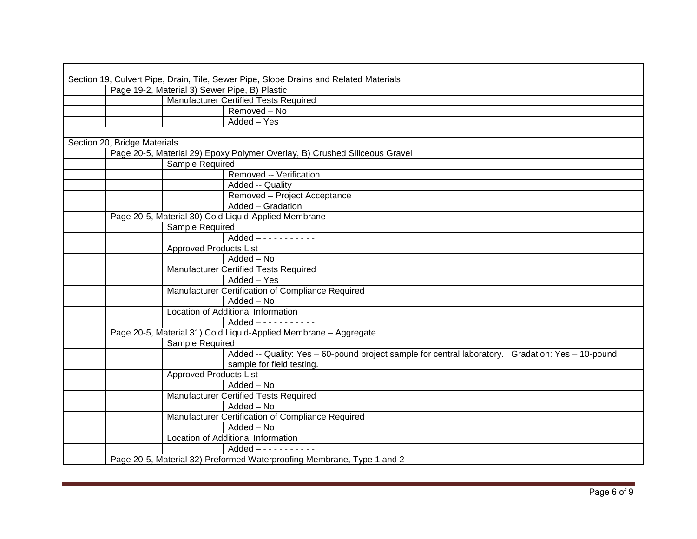| Section 19, Culvert Pipe, Drain, Tile, Sewer Pipe, Slope Drains and Related Materials |                                               |                                                                                                   |  |
|---------------------------------------------------------------------------------------|-----------------------------------------------|---------------------------------------------------------------------------------------------------|--|
|                                                                                       | Page 19-2, Material 3) Sewer Pipe, B) Plastic |                                                                                                   |  |
|                                                                                       |                                               | <b>Manufacturer Certified Tests Required</b>                                                      |  |
|                                                                                       |                                               | $Removed - No$                                                                                    |  |
|                                                                                       |                                               | Added - Yes                                                                                       |  |
|                                                                                       |                                               |                                                                                                   |  |
| Section 20, Bridge Materials                                                          |                                               |                                                                                                   |  |
|                                                                                       |                                               | Page 20-5, Material 29) Epoxy Polymer Overlay, B) Crushed Siliceous Gravel                        |  |
|                                                                                       | Sample Required                               |                                                                                                   |  |
|                                                                                       |                                               | Removed -- Verification                                                                           |  |
|                                                                                       |                                               | Added -- Quality                                                                                  |  |
|                                                                                       |                                               | Removed - Project Acceptance                                                                      |  |
|                                                                                       |                                               | Added - Gradation                                                                                 |  |
|                                                                                       |                                               | Page 20-5, Material 30) Cold Liquid-Applied Membrane                                              |  |
|                                                                                       | Sample Required                               |                                                                                                   |  |
|                                                                                       |                                               | $Added$ - - - - - - - - - -                                                                       |  |
|                                                                                       | <b>Approved Products List</b>                 |                                                                                                   |  |
|                                                                                       |                                               | Added - No                                                                                        |  |
|                                                                                       |                                               | <b>Manufacturer Certified Tests Required</b>                                                      |  |
|                                                                                       |                                               | Added - Yes                                                                                       |  |
|                                                                                       |                                               | Manufacturer Certification of Compliance Required                                                 |  |
|                                                                                       |                                               | $\overline{\text{Added}} - \text{No}$                                                             |  |
|                                                                                       |                                               | Location of Additional Information                                                                |  |
|                                                                                       |                                               |                                                                                                   |  |
|                                                                                       |                                               | Page 20-5, Material 31) Cold Liquid-Applied Membrane - Aggregate                                  |  |
|                                                                                       | Sample Required                               |                                                                                                   |  |
|                                                                                       |                                               | Added -- Quality: Yes - 60-pound project sample for central laboratory. Gradation: Yes - 10-pound |  |
|                                                                                       |                                               | sample for field testing.                                                                         |  |
|                                                                                       | <b>Approved Products List</b>                 |                                                                                                   |  |
|                                                                                       |                                               | Added - No                                                                                        |  |
|                                                                                       |                                               | Manufacturer Certified Tests Required                                                             |  |
|                                                                                       |                                               | Added - No                                                                                        |  |
|                                                                                       |                                               | Manufacturer Certification of Compliance Required                                                 |  |
|                                                                                       |                                               | $\overline{\mathsf{Added}} - \mathsf{No}$                                                         |  |
|                                                                                       |                                               | Location of Additional Information                                                                |  |
|                                                                                       |                                               |                                                                                                   |  |
|                                                                                       |                                               | Page 20-5, Material 32) Preformed Waterproofing Membrane, Type 1 and 2                            |  |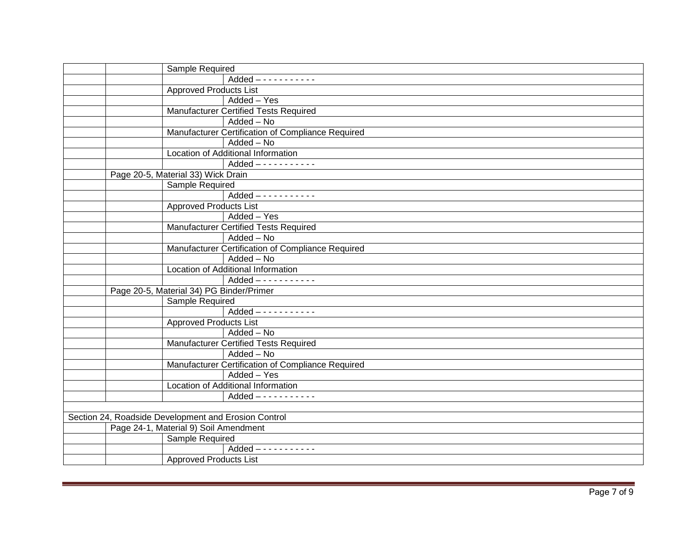| Sample Required                                      |
|------------------------------------------------------|
| $Added$ - - - - - - - - - -                          |
| <b>Approved Products List</b>                        |
| Added - Yes                                          |
| <b>Manufacturer Certified Tests Required</b>         |
| Added - No                                           |
| Manufacturer Certification of Compliance Required    |
| Added - No                                           |
| Location of Additional Information                   |
| $Added$ - - - - - - - - - - -                        |
| Page 20-5, Material 33) Wick Drain                   |
| Sample Required                                      |
| $Added$ - - - - - - - - - -                          |
| <b>Approved Products List</b>                        |
| Added - Yes                                          |
| <b>Manufacturer Certified Tests Required</b>         |
| Added - No                                           |
| Manufacturer Certification of Compliance Required    |
| Added - No                                           |
| Location of Additional Information                   |
| $Added$ - - - - - - - - - -                          |
| Page 20-5, Material 34) PG Binder/Primer             |
| Sample Required                                      |
| $Added$ - - - - - - - - - -                          |
| <b>Approved Products List</b>                        |
| Added - No                                           |
| <b>Manufacturer Certified Tests Required</b>         |
| Added - No                                           |
| Manufacturer Certification of Compliance Required    |
| Added - Yes                                          |
| Location of Additional Information                   |
| $Added$ - - - - - - - - - -                          |
|                                                      |
| Section 24, Roadside Development and Erosion Control |
| Page 24-1, Material 9) Soil Amendment                |
| Sample Required                                      |
| $Added$ - - - - - - - - - - -                        |
| <b>Approved Products List</b>                        |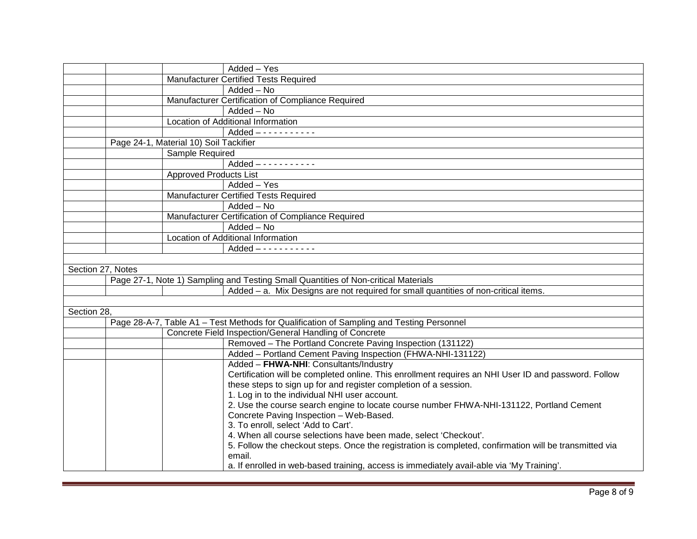| Added - Yes<br>Manufacturer Certified Tests Required<br>$Added - No$<br>Manufacturer Certification of Compliance Required<br>Added - No<br>Location of Additional Information<br>Page 24-1, Material 10) Soil Tackifier<br>Sample Required<br><b>Approved Products List</b><br>$\overline{\mathsf{Added}} - \mathsf{Yes}$<br>Manufacturer Certified Tests Required<br>Added - No<br>Manufacturer Certification of Compliance Required<br>Added - No<br>Location of Additional Information<br>Section 27, Notes<br>Page 27-1, Note 1) Sampling and Testing Small Quantities of Non-critical Materials<br>Added - a. Mix Designs are not required for small quantities of non-critical items.<br>Section 28,<br>Page 28-A-7, Table A1 - Test Methods for Qualification of Sampling and Testing Personnel<br>Concrete Field Inspection/General Handling of Concrete<br>Removed - The Portland Concrete Paving Inspection (131122)<br>Added - Portland Cement Paving Inspection (FHWA-NHI-131122)<br>Added - FHWA-NHI: Consultants/Industry<br>Certification will be completed online. This enrollment requires an NHI User ID and password. Follow<br>these steps to sign up for and register completion of a session.<br>1. Log in to the individual NHI user account.<br>2. Use the course search engine to locate course number FHWA-NHI-131122, Portland Cement<br>Concrete Paving Inspection - Web-Based.<br>3. To enroll, select 'Add to Cart'.<br>4. When all course selections have been made, select 'Checkout'.<br>5. Follow the checkout steps. Once the registration is completed, confirmation will be transmitted via<br>email.<br>a. If enrolled in web-based training, access is immediately avail-able via 'My Training'. |  |  |
|-----------------------------------------------------------------------------------------------------------------------------------------------------------------------------------------------------------------------------------------------------------------------------------------------------------------------------------------------------------------------------------------------------------------------------------------------------------------------------------------------------------------------------------------------------------------------------------------------------------------------------------------------------------------------------------------------------------------------------------------------------------------------------------------------------------------------------------------------------------------------------------------------------------------------------------------------------------------------------------------------------------------------------------------------------------------------------------------------------------------------------------------------------------------------------------------------------------------------------------------------------------------------------------------------------------------------------------------------------------------------------------------------------------------------------------------------------------------------------------------------------------------------------------------------------------------------------------------------------------------------------------------------------------------------------------------------------------------------------------------|--|--|
|                                                                                                                                                                                                                                                                                                                                                                                                                                                                                                                                                                                                                                                                                                                                                                                                                                                                                                                                                                                                                                                                                                                                                                                                                                                                                                                                                                                                                                                                                                                                                                                                                                                                                                                                         |  |  |
|                                                                                                                                                                                                                                                                                                                                                                                                                                                                                                                                                                                                                                                                                                                                                                                                                                                                                                                                                                                                                                                                                                                                                                                                                                                                                                                                                                                                                                                                                                                                                                                                                                                                                                                                         |  |  |
|                                                                                                                                                                                                                                                                                                                                                                                                                                                                                                                                                                                                                                                                                                                                                                                                                                                                                                                                                                                                                                                                                                                                                                                                                                                                                                                                                                                                                                                                                                                                                                                                                                                                                                                                         |  |  |
|                                                                                                                                                                                                                                                                                                                                                                                                                                                                                                                                                                                                                                                                                                                                                                                                                                                                                                                                                                                                                                                                                                                                                                                                                                                                                                                                                                                                                                                                                                                                                                                                                                                                                                                                         |  |  |
|                                                                                                                                                                                                                                                                                                                                                                                                                                                                                                                                                                                                                                                                                                                                                                                                                                                                                                                                                                                                                                                                                                                                                                                                                                                                                                                                                                                                                                                                                                                                                                                                                                                                                                                                         |  |  |
|                                                                                                                                                                                                                                                                                                                                                                                                                                                                                                                                                                                                                                                                                                                                                                                                                                                                                                                                                                                                                                                                                                                                                                                                                                                                                                                                                                                                                                                                                                                                                                                                                                                                                                                                         |  |  |
|                                                                                                                                                                                                                                                                                                                                                                                                                                                                                                                                                                                                                                                                                                                                                                                                                                                                                                                                                                                                                                                                                                                                                                                                                                                                                                                                                                                                                                                                                                                                                                                                                                                                                                                                         |  |  |
|                                                                                                                                                                                                                                                                                                                                                                                                                                                                                                                                                                                                                                                                                                                                                                                                                                                                                                                                                                                                                                                                                                                                                                                                                                                                                                                                                                                                                                                                                                                                                                                                                                                                                                                                         |  |  |
|                                                                                                                                                                                                                                                                                                                                                                                                                                                                                                                                                                                                                                                                                                                                                                                                                                                                                                                                                                                                                                                                                                                                                                                                                                                                                                                                                                                                                                                                                                                                                                                                                                                                                                                                         |  |  |
|                                                                                                                                                                                                                                                                                                                                                                                                                                                                                                                                                                                                                                                                                                                                                                                                                                                                                                                                                                                                                                                                                                                                                                                                                                                                                                                                                                                                                                                                                                                                                                                                                                                                                                                                         |  |  |
|                                                                                                                                                                                                                                                                                                                                                                                                                                                                                                                                                                                                                                                                                                                                                                                                                                                                                                                                                                                                                                                                                                                                                                                                                                                                                                                                                                                                                                                                                                                                                                                                                                                                                                                                         |  |  |
|                                                                                                                                                                                                                                                                                                                                                                                                                                                                                                                                                                                                                                                                                                                                                                                                                                                                                                                                                                                                                                                                                                                                                                                                                                                                                                                                                                                                                                                                                                                                                                                                                                                                                                                                         |  |  |
|                                                                                                                                                                                                                                                                                                                                                                                                                                                                                                                                                                                                                                                                                                                                                                                                                                                                                                                                                                                                                                                                                                                                                                                                                                                                                                                                                                                                                                                                                                                                                                                                                                                                                                                                         |  |  |
|                                                                                                                                                                                                                                                                                                                                                                                                                                                                                                                                                                                                                                                                                                                                                                                                                                                                                                                                                                                                                                                                                                                                                                                                                                                                                                                                                                                                                                                                                                                                                                                                                                                                                                                                         |  |  |
|                                                                                                                                                                                                                                                                                                                                                                                                                                                                                                                                                                                                                                                                                                                                                                                                                                                                                                                                                                                                                                                                                                                                                                                                                                                                                                                                                                                                                                                                                                                                                                                                                                                                                                                                         |  |  |
|                                                                                                                                                                                                                                                                                                                                                                                                                                                                                                                                                                                                                                                                                                                                                                                                                                                                                                                                                                                                                                                                                                                                                                                                                                                                                                                                                                                                                                                                                                                                                                                                                                                                                                                                         |  |  |
|                                                                                                                                                                                                                                                                                                                                                                                                                                                                                                                                                                                                                                                                                                                                                                                                                                                                                                                                                                                                                                                                                                                                                                                                                                                                                                                                                                                                                                                                                                                                                                                                                                                                                                                                         |  |  |
|                                                                                                                                                                                                                                                                                                                                                                                                                                                                                                                                                                                                                                                                                                                                                                                                                                                                                                                                                                                                                                                                                                                                                                                                                                                                                                                                                                                                                                                                                                                                                                                                                                                                                                                                         |  |  |
|                                                                                                                                                                                                                                                                                                                                                                                                                                                                                                                                                                                                                                                                                                                                                                                                                                                                                                                                                                                                                                                                                                                                                                                                                                                                                                                                                                                                                                                                                                                                                                                                                                                                                                                                         |  |  |
|                                                                                                                                                                                                                                                                                                                                                                                                                                                                                                                                                                                                                                                                                                                                                                                                                                                                                                                                                                                                                                                                                                                                                                                                                                                                                                                                                                                                                                                                                                                                                                                                                                                                                                                                         |  |  |
|                                                                                                                                                                                                                                                                                                                                                                                                                                                                                                                                                                                                                                                                                                                                                                                                                                                                                                                                                                                                                                                                                                                                                                                                                                                                                                                                                                                                                                                                                                                                                                                                                                                                                                                                         |  |  |
|                                                                                                                                                                                                                                                                                                                                                                                                                                                                                                                                                                                                                                                                                                                                                                                                                                                                                                                                                                                                                                                                                                                                                                                                                                                                                                                                                                                                                                                                                                                                                                                                                                                                                                                                         |  |  |
|                                                                                                                                                                                                                                                                                                                                                                                                                                                                                                                                                                                                                                                                                                                                                                                                                                                                                                                                                                                                                                                                                                                                                                                                                                                                                                                                                                                                                                                                                                                                                                                                                                                                                                                                         |  |  |
|                                                                                                                                                                                                                                                                                                                                                                                                                                                                                                                                                                                                                                                                                                                                                                                                                                                                                                                                                                                                                                                                                                                                                                                                                                                                                                                                                                                                                                                                                                                                                                                                                                                                                                                                         |  |  |
|                                                                                                                                                                                                                                                                                                                                                                                                                                                                                                                                                                                                                                                                                                                                                                                                                                                                                                                                                                                                                                                                                                                                                                                                                                                                                                                                                                                                                                                                                                                                                                                                                                                                                                                                         |  |  |
|                                                                                                                                                                                                                                                                                                                                                                                                                                                                                                                                                                                                                                                                                                                                                                                                                                                                                                                                                                                                                                                                                                                                                                                                                                                                                                                                                                                                                                                                                                                                                                                                                                                                                                                                         |  |  |
|                                                                                                                                                                                                                                                                                                                                                                                                                                                                                                                                                                                                                                                                                                                                                                                                                                                                                                                                                                                                                                                                                                                                                                                                                                                                                                                                                                                                                                                                                                                                                                                                                                                                                                                                         |  |  |
|                                                                                                                                                                                                                                                                                                                                                                                                                                                                                                                                                                                                                                                                                                                                                                                                                                                                                                                                                                                                                                                                                                                                                                                                                                                                                                                                                                                                                                                                                                                                                                                                                                                                                                                                         |  |  |
|                                                                                                                                                                                                                                                                                                                                                                                                                                                                                                                                                                                                                                                                                                                                                                                                                                                                                                                                                                                                                                                                                                                                                                                                                                                                                                                                                                                                                                                                                                                                                                                                                                                                                                                                         |  |  |
|                                                                                                                                                                                                                                                                                                                                                                                                                                                                                                                                                                                                                                                                                                                                                                                                                                                                                                                                                                                                                                                                                                                                                                                                                                                                                                                                                                                                                                                                                                                                                                                                                                                                                                                                         |  |  |
|                                                                                                                                                                                                                                                                                                                                                                                                                                                                                                                                                                                                                                                                                                                                                                                                                                                                                                                                                                                                                                                                                                                                                                                                                                                                                                                                                                                                                                                                                                                                                                                                                                                                                                                                         |  |  |
|                                                                                                                                                                                                                                                                                                                                                                                                                                                                                                                                                                                                                                                                                                                                                                                                                                                                                                                                                                                                                                                                                                                                                                                                                                                                                                                                                                                                                                                                                                                                                                                                                                                                                                                                         |  |  |
|                                                                                                                                                                                                                                                                                                                                                                                                                                                                                                                                                                                                                                                                                                                                                                                                                                                                                                                                                                                                                                                                                                                                                                                                                                                                                                                                                                                                                                                                                                                                                                                                                                                                                                                                         |  |  |
|                                                                                                                                                                                                                                                                                                                                                                                                                                                                                                                                                                                                                                                                                                                                                                                                                                                                                                                                                                                                                                                                                                                                                                                                                                                                                                                                                                                                                                                                                                                                                                                                                                                                                                                                         |  |  |
|                                                                                                                                                                                                                                                                                                                                                                                                                                                                                                                                                                                                                                                                                                                                                                                                                                                                                                                                                                                                                                                                                                                                                                                                                                                                                                                                                                                                                                                                                                                                                                                                                                                                                                                                         |  |  |
|                                                                                                                                                                                                                                                                                                                                                                                                                                                                                                                                                                                                                                                                                                                                                                                                                                                                                                                                                                                                                                                                                                                                                                                                                                                                                                                                                                                                                                                                                                                                                                                                                                                                                                                                         |  |  |
|                                                                                                                                                                                                                                                                                                                                                                                                                                                                                                                                                                                                                                                                                                                                                                                                                                                                                                                                                                                                                                                                                                                                                                                                                                                                                                                                                                                                                                                                                                                                                                                                                                                                                                                                         |  |  |
|                                                                                                                                                                                                                                                                                                                                                                                                                                                                                                                                                                                                                                                                                                                                                                                                                                                                                                                                                                                                                                                                                                                                                                                                                                                                                                                                                                                                                                                                                                                                                                                                                                                                                                                                         |  |  |
|                                                                                                                                                                                                                                                                                                                                                                                                                                                                                                                                                                                                                                                                                                                                                                                                                                                                                                                                                                                                                                                                                                                                                                                                                                                                                                                                                                                                                                                                                                                                                                                                                                                                                                                                         |  |  |